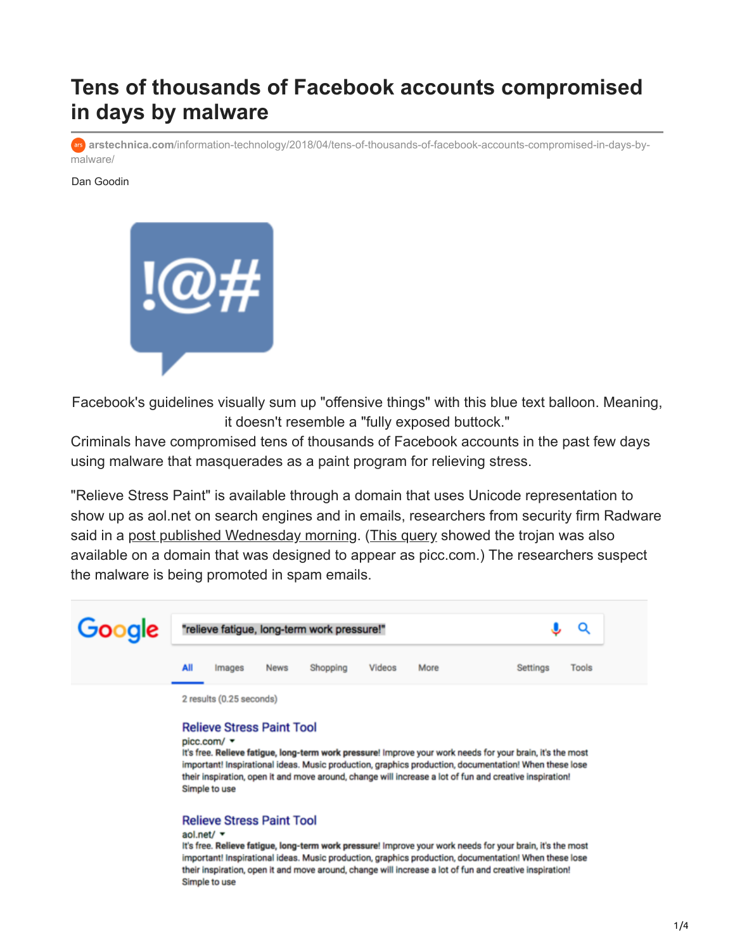# **Tens of thousands of Facebook accounts compromised in days by malware**

**arstechnica.com**[/information-technology/2018/04/tens-of-thousands-of-facebook-accounts-compromised-in-days-by](https://arstechnica.com/information-technology/2018/04/tens-of-thousands-of-facebook-accounts-compromised-in-days-by-malware/)malware/

#### Dan Goodin



Facebook's guidelines visually sum up "offensive things" with this blue text balloon. Meaning, it doesn't resemble a "fully exposed buttock."

Criminals have compromised tens of thousands of Facebook accounts in the past few days using malware that masquerades as a paint program for relieving stress.

"Relieve Stress Paint" is available through a domain that uses Unicode representation to show up as aol.net on search engines and in emails, researchers from security firm Radware said in a [post published Wednesday morning.](https://blog.radware.com/security/2018/04/stresspaint-malware-campaign-targeting-facebook-credentials/) [\(This query](https://www.google.com/search?q=%22relieve+fatigue,+long-term+work+pressure!%22&safe=active&filter=0&biw=1024&bih=562) showed the trojan was also available on a domain that was designed to appear as picc.com.) The researchers suspect the malware is being promoted in spam emails.



#### **Relieve Stress Paint Tool**

picc.com/ +

It's free. Relieve fatigue, long-term work pressure! Improve your work needs for your brain, it's the most important! Inspirational ideas. Music production, graphics production, documentation! When these lose their inspiration, open it and move around, change will increase a lot of fun and creative inspiration! Simple to use

#### **Relieve Stress Paint Tool**

#### aol.net/ v

It's free. Relieve fatigue, long-term work pressure! Improve your work needs for your brain, it's the most important! Inspirational ideas. Music production, graphics production, documentation! When these lose their inspiration, open it and move around, change will increase a lot of fun and creative inspiration! Simple to use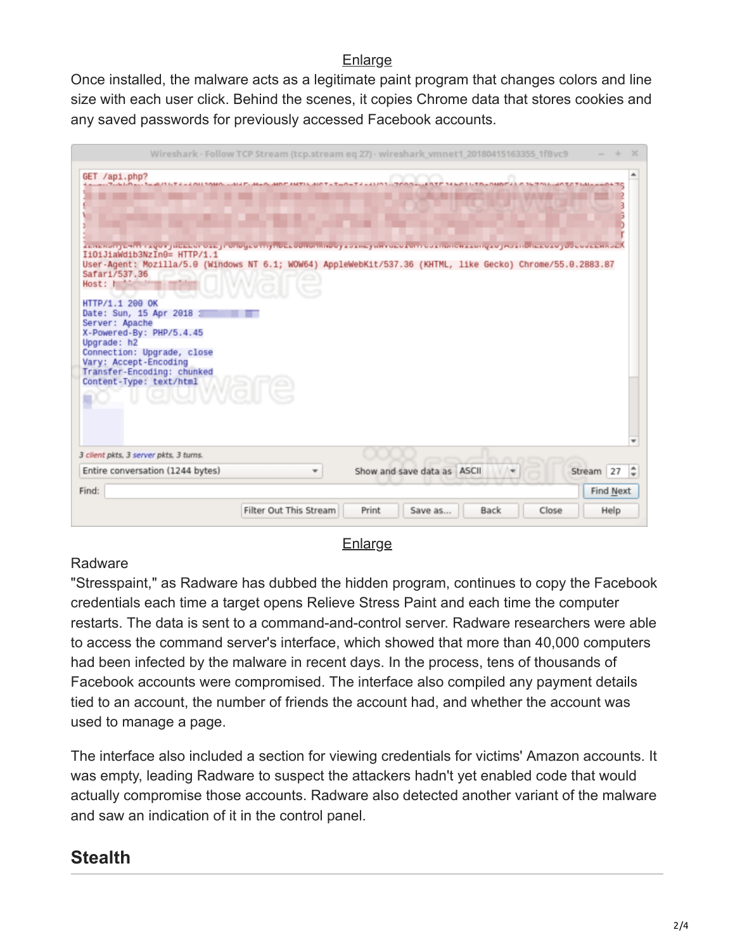### **[Enlarge](https://cdn.arstechnica.net/wp-content/uploads/2018/04/spoofed-websites.png)**

Once installed, the malware acts as a legitimate paint program that changes colors and line size with each user click. Behind the scenes, it copies Chrome data that stores cookies and any saved passwords for previously accessed Facebook accounts.

|                                                                                                                                                                                                                                                                                                                                                                                                                                                                                                                                  | Wireshark · Follow TCP Stream (tcp.stream eq 27) · wireshark_vmnet1_20180415163355_1fBvc9 |                             |                      |                  |
|----------------------------------------------------------------------------------------------------------------------------------------------------------------------------------------------------------------------------------------------------------------------------------------------------------------------------------------------------------------------------------------------------------------------------------------------------------------------------------------------------------------------------------|-------------------------------------------------------------------------------------------|-----------------------------|----------------------|------------------|
| GET /api.php?                                                                                                                                                                                                                                                                                                                                                                                                                                                                                                                    |                                                                                           |                             |                      |                  |
| kenerunge mit i koorgueelen oke ji onogeo mijnoekoonuminoo ji banegum uleokom obanonerkkunooko jibbanonekoko job lookemideA<br>IiOiJiaWdib3NzIn0= HTTP/1.1<br>User-Agent: Mozilla/5.0 (Windows NT 6.1; WOW64) AppleWebKit/537.36 (KHTML, like Gecko) Chrome/55.0.2883.87<br>Safar1/537.36<br>Host: h<br>HTTP/1.1 200 OK<br>Date: Sun, 15 Apr 2018 1<br>Server: Apache<br>X-Powered-By: PHP/5.4.45<br>Upgrade: h2<br>Connection: Upgrade, close<br>Vary: Accept-Encoding<br>Transfer-Encoding: chunked<br>Content-Type: text/html |                                                                                           |                             |                      |                  |
| 3 client pkts, 3 server pkts, 3 turns.<br>Entire conversation (1244 bytes)                                                                                                                                                                                                                                                                                                                                                                                                                                                       |                                                                                           | Show and save data as ASCII |                      | Stream 27        |
| Find:                                                                                                                                                                                                                                                                                                                                                                                                                                                                                                                            |                                                                                           |                             |                      |                  |
|                                                                                                                                                                                                                                                                                                                                                                                                                                                                                                                                  |                                                                                           |                             |                      | <b>Find Next</b> |
|                                                                                                                                                                                                                                                                                                                                                                                                                                                                                                                                  | Filter Out This Stream                                                                    | Print<br>Save as            | Close<br><b>Back</b> | Help             |

#### **[Enlarge](https://cdn.arstechnica.net/wp-content/uploads/2018/04/facebook-data-theft.png)**

### Radware

"Stresspaint," as Radware has dubbed the hidden program, continues to copy the Facebook credentials each time a target opens Relieve Stress Paint and each time the computer restarts. The data is sent to a command-and-control server. Radware researchers were able to access the command server's interface, which showed that more than 40,000 computers had been infected by the malware in recent days. In the process, tens of thousands of Facebook accounts were compromised. The interface also compiled any payment details tied to an account, the number of friends the account had, and whether the account was used to manage a page.

The interface also included a section for viewing credentials for victims' Amazon accounts. It was empty, leading Radware to suspect the attackers hadn't yet enabled code that would actually compromise those accounts. Radware also detected another variant of the malware and saw an indication of it in the control panel.

## **Stealth**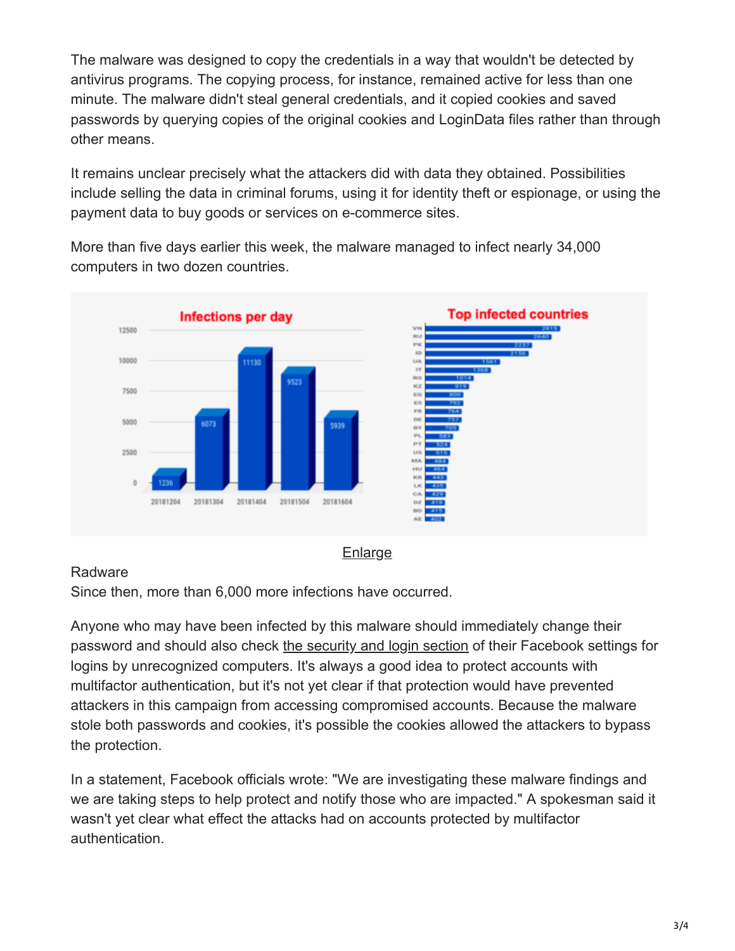The malware was designed to copy the credentials in a way that wouldn't be detected by antivirus programs. The copying process, for instance, remained active for less than one minute. The malware didn't steal general credentials, and it copied cookies and saved passwords by querying copies of the original cookies and LoginData files rather than through other means.

It remains unclear precisely what the attackers did with data they obtained. Possibilities include selling the data in criminal forums, using it for identity theft or espionage, or using the payment data to buy goods or services on e-commerce sites.

More than five days earlier this week, the malware managed to infect nearly 34,000 computers in two dozen countries.



### Radware

Since then, more than 6,000 more infections have occurred.

Anyone who may have been infected by this malware should immediately change their password and should also check [the security and login section](https://www.facebook.com/settings?tab=security) of their Facebook settings for logins by unrecognized computers. It's always a good idea to protect accounts with multifactor authentication, but it's not yet clear if that protection would have prevented attackers in this campaign from accessing compromised accounts. Because the malware stole both passwords and cookies, it's possible the cookies allowed the attackers to bypass the protection.

In a statement, Facebook officials wrote: "We are investigating these malware findings and we are taking steps to help protect and notify those who are impacted." A spokesman said it wasn't yet clear what effect the attacks had on accounts protected by multifactor authentication.